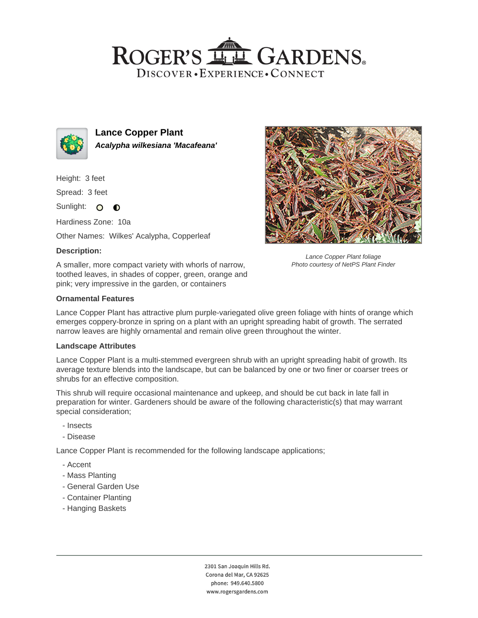## ROGER'S LL GARDENS. DISCOVER · EXPERIENCE · CONNECT



**Lance Copper Plant Acalypha wilkesiana 'Macafeana'**

Height: 3 feet

Spread: 3 feet

Sunlight: O **O** 

Hardiness Zone: 10a

Other Names: Wilkes' Acalypha, Copperleaf

## **Description:**

A smaller, more compact variety with whorls of narrow, toothed leaves, in shades of copper, green, orange and pink; very impressive in the garden, or containers



Lance Copper Plant foliage Photo courtesy of NetPS Plant Finder

## **Ornamental Features**

Lance Copper Plant has attractive plum purple-variegated olive green foliage with hints of orange which emerges coppery-bronze in spring on a plant with an upright spreading habit of growth. The serrated narrow leaves are highly ornamental and remain olive green throughout the winter.

#### **Landscape Attributes**

Lance Copper Plant is a multi-stemmed evergreen shrub with an upright spreading habit of growth. Its average texture blends into the landscape, but can be balanced by one or two finer or coarser trees or shrubs for an effective composition.

This shrub will require occasional maintenance and upkeep, and should be cut back in late fall in preparation for winter. Gardeners should be aware of the following characteristic(s) that may warrant special consideration;

- Insects
- Disease

Lance Copper Plant is recommended for the following landscape applications;

- Accent
- Mass Planting
- General Garden Use
- Container Planting
- Hanging Baskets

2301 San Joaquin Hills Rd. Corona del Mar, CA 92625 phone: 949.640.5800 www.rogersgardens.com